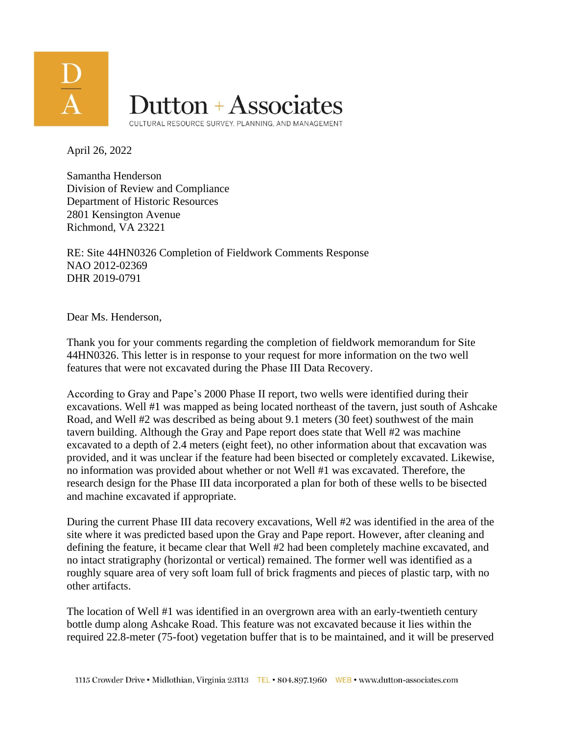

April 26, 2022

Samantha Henderson Division of Review and Compliance Department of Historic Resources 2801 Kensington Avenue Richmond, VA 23221

RE: Site 44HN0326 Completion of Fieldwork Comments Response NAO 2012-02369 DHR 2019-0791

Dear Ms. Henderson,

Thank you for your comments regarding the completion of fieldwork memorandum for Site 44HN0326. This letter is in response to your request for more information on the two well features that were not excavated during the Phase III Data Recovery.

According to Gray and Pape's 2000 Phase II report, two wells were identified during their excavations. Well #1 was mapped as being located northeast of the tavern, just south of Ashcake Road, and Well #2 was described as being about 9.1 meters (30 feet) southwest of the main tavern building. Although the Gray and Pape report does state that Well #2 was machine excavated to a depth of 2.4 meters (eight feet), no other information about that excavation was provided, and it was unclear if the feature had been bisected or completely excavated. Likewise, no information was provided about whether or not Well #1 was excavated. Therefore, the research design for the Phase III data incorporated a plan for both of these wells to be bisected and machine excavated if appropriate.

During the current Phase III data recovery excavations, Well #2 was identified in the area of the site where it was predicted based upon the Gray and Pape report. However, after cleaning and defining the feature, it became clear that Well #2 had been completely machine excavated, and no intact stratigraphy (horizontal or vertical) remained. The former well was identified as a roughly square area of very soft loam full of brick fragments and pieces of plastic tarp, with no other artifacts.

The location of Well #1 was identified in an overgrown area with an early-twentieth century bottle dump along Ashcake Road. This feature was not excavated because it lies within the required 22.8-meter (75-foot) vegetation buffer that is to be maintained, and it will be preserved